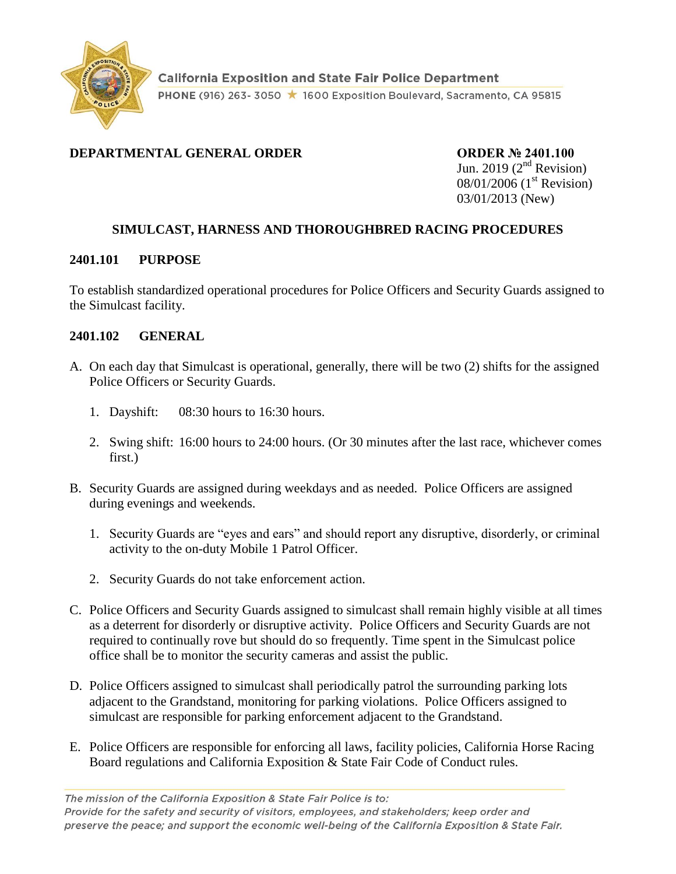

## **DEPARTMENTAL GENERAL ORDER CORDER ORDER Nº 2401.100**

Jun. 2019 ( $2<sup>nd</sup>$  Revision) 08/01/2006 (1<sup>st</sup> Revision) 03/01/2013 (New)

## **SIMULCAST, HARNESS AND THOROUGHBRED RACING PROCEDURES**

#### **2401.101 PURPOSE**

To establish standardized operational procedures for Police Officers and Security Guards assigned to the Simulcast facility.

#### **2401.102 GENERAL**

- A. On each day that Simulcast is operational, generally, there will be two (2) shifts for the assigned Police Officers or Security Guards.
	- 1. Dayshift: 08:30 hours to 16:30 hours.
	- 2. Swing shift: 16:00 hours to 24:00 hours. (Or 30 minutes after the last race, whichever comes first.)
- B. Security Guards are assigned during weekdays and as needed. Police Officers are assigned during evenings and weekends.
	- 1. Security Guards are "eyes and ears" and should report any disruptive, disorderly, or criminal activity to the on-duty Mobile 1 Patrol Officer.
	- 2. Security Guards do not take enforcement action.
- C. Police Officers and Security Guards assigned to simulcast shall remain highly visible at all times as a deterrent for disorderly or disruptive activity. Police Officers and Security Guards are not required to continually rove but should do so frequently. Time spent in the Simulcast police office shall be to monitor the security cameras and assist the public.
- D. Police Officers assigned to simulcast shall periodically patrol the surrounding parking lots adjacent to the Grandstand, monitoring for parking violations. Police Officers assigned to simulcast are responsible for parking enforcement adjacent to the Grandstand.
- E. Police Officers are responsible for enforcing all laws, facility policies, California Horse Racing Board regulations and California Exposition & State Fair Code of Conduct rules.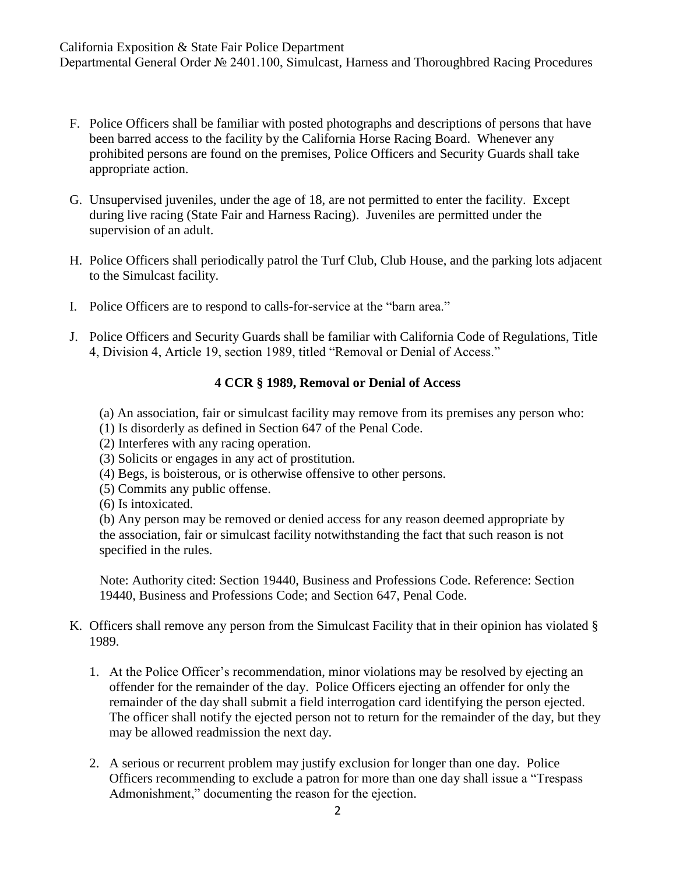- F. Police Officers shall be familiar with posted photographs and descriptions of persons that have been barred access to the facility by the California Horse Racing Board. Whenever any prohibited persons are found on the premises, Police Officers and Security Guards shall take appropriate action.
- G. Unsupervised juveniles, under the age of 18, are not permitted to enter the facility. Except during live racing (State Fair and Harness Racing). Juveniles are permitted under the supervision of an adult.
- H. Police Officers shall periodically patrol the Turf Club, Club House, and the parking lots adjacent to the Simulcast facility.
- I. Police Officers are to respond to calls-for-service at the "barn area."
- J. Police Officers and Security Guards shall be familiar with California Code of Regulations, Title 4, Division 4, Article 19, section 1989, titled "Removal or Denial of Access."

### **4 CCR § 1989, Removal or Denial of Access**

- (a) An association, fair or simulcast facility may remove from its premises any person who:
- (1) Is disorderly as defined in Section 647 of the Penal Code.
- (2) Interferes with any racing operation.
- (3) Solicits or engages in any act of prostitution.
- (4) Begs, is boisterous, or is otherwise offensive to other persons.
- (5) Commits any public offense.

(6) Is intoxicated.

(b) Any person may be removed or denied access for any reason deemed appropriate by the association, fair or simulcast facility notwithstanding the fact that such reason is not specified in the rules.

Note: Authority cited: Section 19440, Business and Professions Code. Reference: Section 19440, Business and Professions Code; and Section 647, Penal Code.

- K. Officers shall remove any person from the Simulcast Facility that in their opinion has violated § 1989.
	- 1. At the Police Officer's recommendation, minor violations may be resolved by ejecting an offender for the remainder of the day. Police Officers ejecting an offender for only the remainder of the day shall submit a field interrogation card identifying the person ejected. The officer shall notify the ejected person not to return for the remainder of the day, but they may be allowed readmission the next day.
	- 2. A serious or recurrent problem may justify exclusion for longer than one day. Police Officers recommending to exclude a patron for more than one day shall issue a "Trespass Admonishment," documenting the reason for the ejection.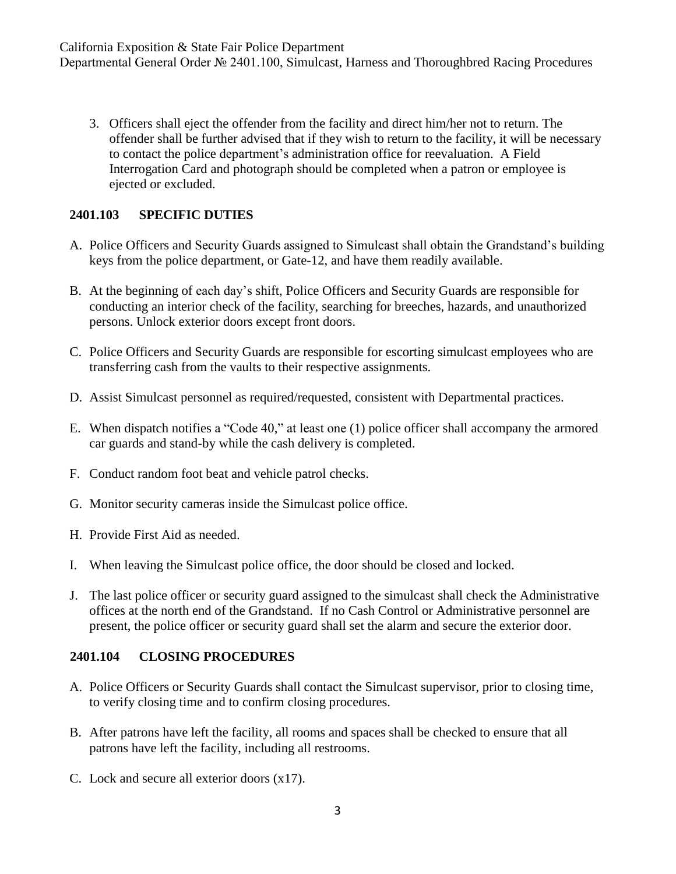3. Officers shall eject the offender from the facility and direct him/her not to return. The offender shall be further advised that if they wish to return to the facility, it will be necessary to contact the police department's administration office for reevaluation. A Field Interrogation Card and photograph should be completed when a patron or employee is ejected or excluded.

## **2401.103 SPECIFIC DUTIES**

- A. Police Officers and Security Guards assigned to Simulcast shall obtain the Grandstand's building keys from the police department, or Gate-12, and have them readily available.
- B. At the beginning of each day's shift, Police Officers and Security Guards are responsible for conducting an interior check of the facility, searching for breeches, hazards, and unauthorized persons. Unlock exterior doors except front doors.
- C. Police Officers and Security Guards are responsible for escorting simulcast employees who are transferring cash from the vaults to their respective assignments.
- D. Assist Simulcast personnel as required/requested, consistent with Departmental practices.
- E. When dispatch notifies a "Code 40," at least one (1) police officer shall accompany the armored car guards and stand-by while the cash delivery is completed.
- F. Conduct random foot beat and vehicle patrol checks.
- G. Monitor security cameras inside the Simulcast police office.
- H. Provide First Aid as needed.
- I. When leaving the Simulcast police office, the door should be closed and locked.
- J. The last police officer or security guard assigned to the simulcast shall check the Administrative offices at the north end of the Grandstand. If no Cash Control or Administrative personnel are present, the police officer or security guard shall set the alarm and secure the exterior door.

# **2401.104 CLOSING PROCEDURES**

- A. Police Officers or Security Guards shall contact the Simulcast supervisor, prior to closing time, to verify closing time and to confirm closing procedures.
- B. After patrons have left the facility, all rooms and spaces shall be checked to ensure that all patrons have left the facility, including all restrooms.
- C. Lock and secure all exterior doors (x17).